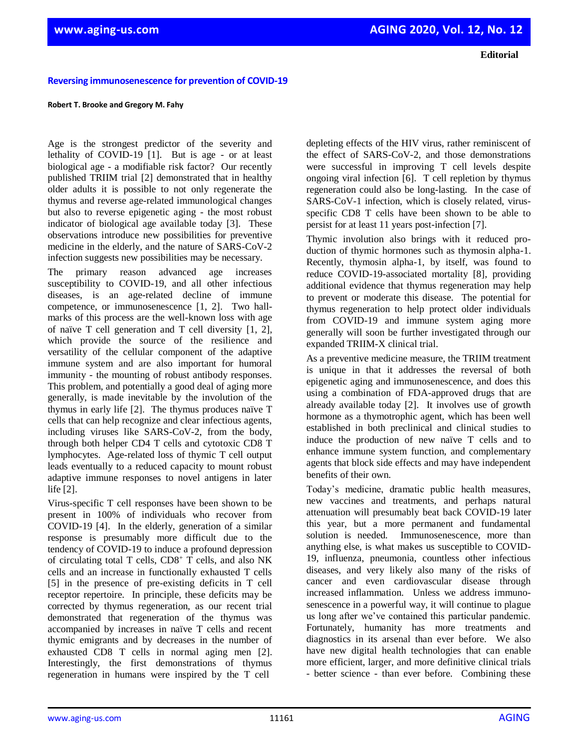**Editorial**

## **Reversing immunosenescence for prevention of COVID-19**

## **Robert T. Brooke and Gregory M. Fahy**

Age is the strongest predictor of the severity and lethality of COVID-19 [1]. But is age - or at least biological age - a modifiable risk factor? Our recently published TRIIM trial [2] demonstrated that in healthy older adults it is possible to not only regenerate the thymus and reverse age-related immunological changes but also to reverse epigenetic aging - the most robust indicator of biological age available today [3]. These observations introduce new possibilities for preventive medicine in the elderly, and the nature of SARS-CoV-2 infection suggests new possibilities may be necessary.

The primary reason advanced age increases susceptibility to COVID-19, and all other infectious diseases, is an age-related decline of immune competence, or immunosenescence [1, 2]. Two hallmarks of this process are the well-known loss with age of naïve T cell generation and T cell diversity [1, 2], which provide the source of the resilience and versatility of the cellular component of the adaptive immune system and are also important for humoral immunity - the mounting of robust antibody responses. This problem, and potentially a good deal of aging more generally, is made inevitable by the involution of the thymus in early life [2]. The thymus produces naïve T cells that can help recognize and clear infectious agents, including viruses like SARS-CoV-2, from the body, through both helper CD4 T cells and cytotoxic CD8 T lymphocytes. Age-related loss of thymic T cell output leads eventually to a reduced capacity to mount robust adaptive immune responses to novel antigens in later life [2].

Virus-specific T cell responses have been shown to be present in 100% of individuals who recover from COVID-19 [4]. In the elderly, generation of a similar response is presumably more difficult due to the tendency of COVID-19 to induce a profound depression of circulating total T cells,  $CD8<sup>+</sup>$  T cells, and also NK cells and an increase in functionally exhausted T cells [5] in the presence of pre-existing deficits in T cell receptor repertoire. In principle, these deficits may be corrected by thymus regeneration, as our recent trial demonstrated that regeneration of the thymus was accompanied by increases in naïve T cells and recent thymic emigrants and by decreases in the number of exhausted CD8 T cells in normal aging men [2]. Interestingly, the first demonstrations of thymus regeneration in humans were inspired by the T cell

depleting effects of the HIV virus, rather reminiscent of the effect of SARS-CoV-2, and those demonstrations were successful in improving T cell levels despite ongoing viral infection [6]. T cell repletion by thymus regeneration could also be long-lasting. In the case of SARS-CoV-1 infection, which is closely related, virusspecific CD8 T cells have been shown to be able to persist for at least 11 years post-infection [7].

Thymic involution also brings with it reduced production of thymic hormones such as thymosin alpha-1. Recently, thymosin alpha-1, by itself, was found to reduce COVID-19-associated mortality [8], providing additional evidence that thymus regeneration may help to prevent or moderate this disease. The potential for thymus regeneration to help protect older individuals from COVID-19 and immune system aging more generally will soon be further investigated through our expanded TRIIM-X clinical trial.

As a preventive medicine measure, the TRIIM treatment is unique in that it addresses the reversal of both epigenetic aging and immunosenescence, and does this using a combination of FDA-approved drugs that are already available today [2]. It involves use of growth hormone as a thymotrophic agent, which has been well established in both preclinical and clinical studies to induce the production of new naïve T cells and to enhance immune system function, and complementary agents that block side effects and may have independent benefits of their own.

Today's medicine, dramatic public health measures, new vaccines and treatments, and perhaps natural attenuation will presumably beat back COVID-19 later this year, but a more permanent and fundamental solution is needed. Immunosenescence, more than anything else, is what makes us susceptible to COVID-19, influenza, pneumonia, countless other infectious diseases, and very likely also many of the risks of cancer and even cardiovascular disease through increased inflammation. Unless we address immunosenescence in a powerful way, it will continue to plague us long after we've contained this particular pandemic. Fortunately, humanity has more treatments and diagnostics in its arsenal than ever before. We also have new digital health technologies that can enable more efficient, larger, and more definitive clinical trials - better science - than ever before. Combining these